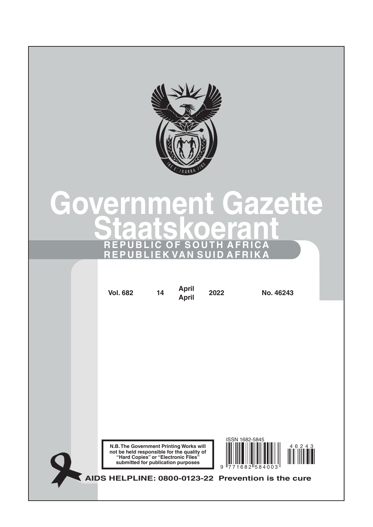

# **Government Gazette Staatskoerant REPUBLIC OF SOUTH AFRICA REPUBLIEK VAN SUID AFRIKA**

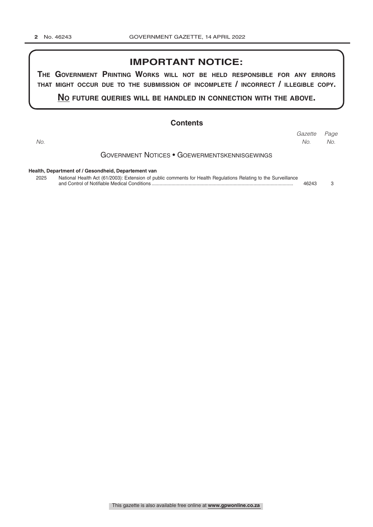## **IMPORTANT NOTICE:**

**The GovernmenT PrinTinG Works Will noT be held resPonsible for any errors ThaT miGhT occur due To The submission of incomPleTe / incorrecT / illeGible coPy.**

**no fuTure queries Will be handled in connecTion WiTh The above.**

### **Contents**

Government Notices • Goewermentskennisgewings **Health, Department of / Gesondheid, Departement van** *Page Gazette No. No. No.*

2025 National Health Act (61/2003): Extension of public comments for Health Regulations Relating to the Surveillance and Control of Notifiable Medical Conditions ........................................................................................................... 46243 3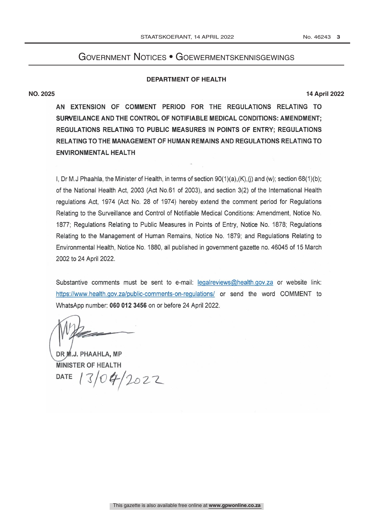## Government Notices • Goewermentskennisgewings

#### **DEPARTMENT OF HEALTH**

**NO. 2025 14 April 2022**

AN EXTENSION OF COMMENT PERIOD FOR THE REGULATIONS RELATING TO SURVEILANCE AND THE CONTROL OF NOTIFIABLE MEDICAL CONDITIONS: AMENDMENT: REGULATIONS RELATING TO PUBLIC MEASURES IN POINTS OF ENTRY; REGULATIONS RELATING TO THE MANAGEMENT OF HUMAN REMAINS AND REGULATIONS RELATING TO **ENVIRONMENTAL HEALTH** 

I, Dr M.J Phaahla, the Minister of Health, in terms of section  $90(1)(a)$ ,  $(K)$ , (i) and (w); section  $68(1)(b)$ ; of the National Health Act, 2003 (Act No.61 of 2003), and section 3(2) of the International Health regulations Act, 1974 (Act No. 28 of 1974) hereby extend the comment period for Regulations Relating to the Surveillance and Control of Notifiable Medical Conditions: Amendment, Notice No. 1877; Regulations Relating to Public Measures in Points of Entry, Notice No. 1878; Regulations Relating to the Management of Human Remains, Notice No. 1879; and Regulations Relating to Environmental Health, Notice No. 1880, all published in government gazette no. 46045 of 15 March 2002 to 24 April 2022.

Substantive comments must be sent to e-mail: legalreviews@health.gov.za or website link: https://www.health.gov.za/public-comments-on-regulations/ or send the word COMMENT to WhatsApp number: 060 012 3456 on or before 24 April 2022.

DR M.J. PHAAHLA, MP **MINISTER OF HEALTH**  $104/2022$ **DATE**